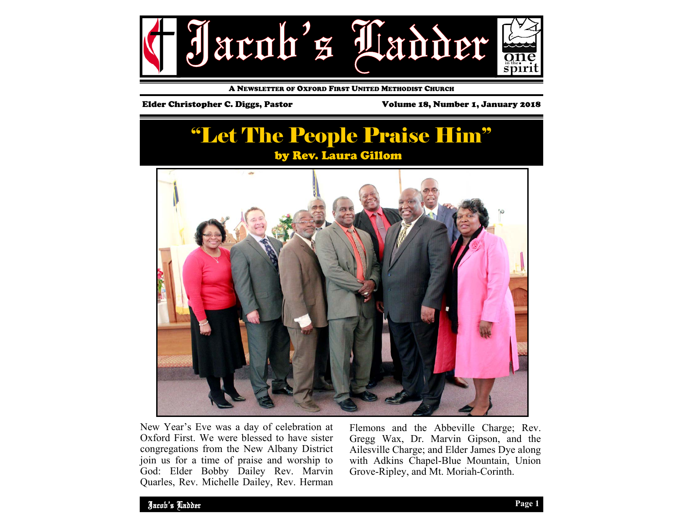

A NEWSLETTER OF OXFORD FIRST UNITED METHODIST CHURCH

Elder Christopher C. Diggs, Pastor Volume 18, Number 1, January 2018

# "Let The People Praise Him" by Rev. Laura Gillom



New Year's Eve was a day of celebration at Oxford First. We were blessed to have sister congregations from the New Albany District join us for a time of praise and worship to God: Elder Bobby Dailey Rev. Marvin Quarles, Rev. Michelle Dailey, Rev. Herman Flemons and the Abbeville Charge; Rev. Gregg Wax, Dr. Marvin Gipson, and the Ailesville Charge; and Elder James Dye along with Adkins Chapel-Blue Mountain, Union Grove-Ripley, and Mt. Moriah-Corinth.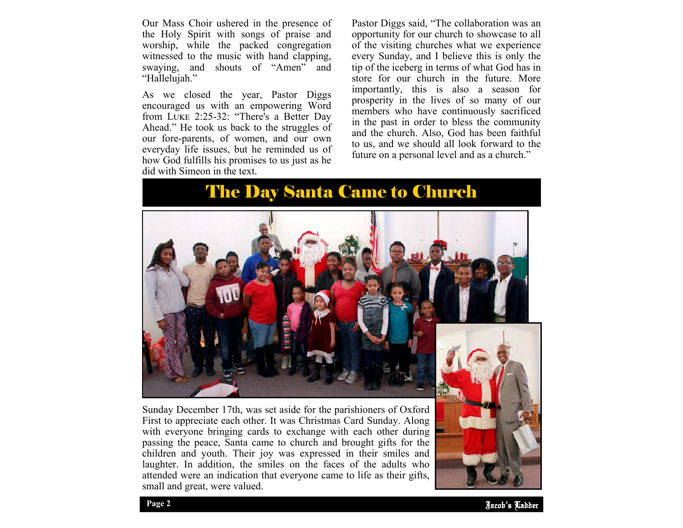Our Mass Choir ushered in the presence of the Holy Spirit with songs of praise and worship, while the packed congregation witnessed to the music with hand clapping, swaying, and shouts of "Amen" and "Hallelujah."

As we closed the year, Pastor Diggs encouraged us with an empowering Word from LUKE 2:25-32: "There's a Better Day Ahead." He took us back to the struggles of our fore-parents, of women, and our own everyday life issues, but he reminded us of how God fulfills his promises to us just as he did with Simeon in the text.

Pastor Diggs said, "The collaboration was an opportunity for our church to showcase to all of the visiting churches what we experience every Sunday, and I believe this is only the tip of the iceberg in terms of what God has in store for our church in the future. More importantly, this is also a season for prosperity in the lives of so many of our members who have continuously sacrificed in the past in order to bless the community and the church. Also, God has been faithful to us, and we should all look forward to the future on a personal level and as a church."

The Day Santa Came to Church



Sunday December 17th, was set aside for the parishioners of Oxford First to appreciate each other. It was Christmas Card Sunday. Along with everyone bringing cards to exchange with each other during passing the peace, Santa came to church and brought gifts for the children and youth. Their joy was expressed in their smiles and laughter. In addition, the smiles on the faces of the adults who attended were an indication that everyone came to life as their gifts, small and great, were valued.

Jacob' Ladder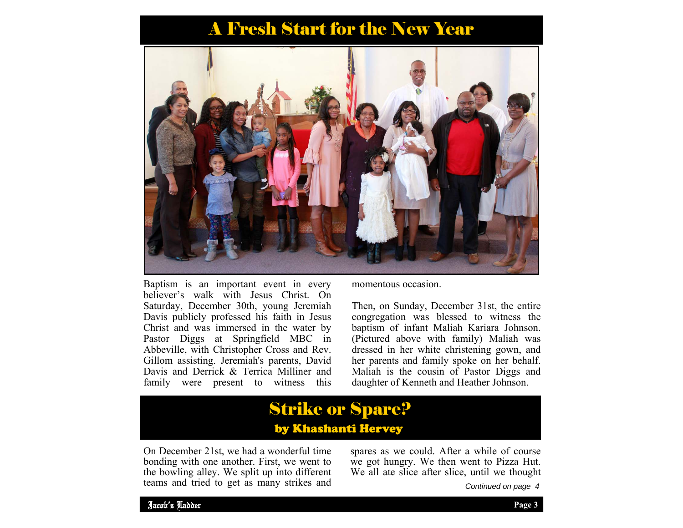# A Fresh Start for the New Year



Baptism is an important event in every believer's walk with Jesus Christ. On Saturday, December 30th, young Jeremiah Davis publicly professed his faith in Jesus Christ and was immersed in the water by Pastor Diggs at Springfield MBC in Abbeville, with Christopher Cross and Rev. Gillom assisting. Jeremiah's parents, David Davis and Derrick & Terrica Milliner and family were present to witness this

momentous occasion.

Then, on Sunday, December 31st, the entire congregation was blessed to witness the baptism of infant Maliah Kariara Johnson. (Pictured above with family) Maliah was dressed in her white christening gown, and her parents and family spoke on her behalf. Maliah is the cousin of Pastor Diggs and daughter of Kenneth and Heather Johnson.

## Strike or Spare? by Khashanti Hervey

On December 21st, we had a wonderful time bonding with one another. First, we went to the bowling alley. We split up into different teams and tried to get as many strikes and

spares as we could. After a while of course we got hungry. We then went to Pizza Hut. We all ate slice after slice, until we thought

*Continued on page 4*